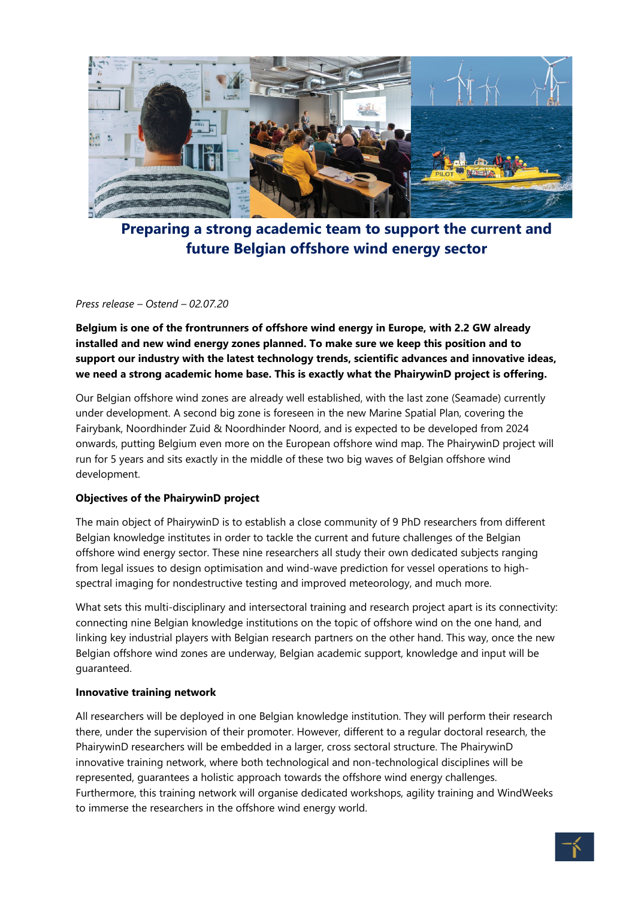

**Preparing a strong academic team to support the current and future Belgian offshore wind energy sector**

#### *Press release – Ostend – 02.07.20*

**Belgium is one of the frontrunners of offshore wind energy in Europe, with 2.2 GW already installed and new wind energy zones planned. To make sure we keep this position and to support our industry with the latest technology trends, scientific advances and innovative ideas, we need a strong academic home base. This is exactly what the PhairywinD project is offering.**

Our Belgian offshore wind zones are already well established, with the last zone (Seamade) currently under development. A second big zone is foreseen in the new Marine Spatial Plan, covering the Fairybank, Noordhinder Zuid & Noordhinder Noord, and is expected to be developed from 2024 onwards, putting Belgium even more on the European offshore wind map. The PhairywinD project will run for 5 years and sits exactly in the middle of these two big waves of Belgian offshore wind development.

# **Objectives of the PhairywinD project**

The main object of PhairywinD is to establish a close community of 9 PhD researchers from different Belgian knowledge institutes in order to tackle the current and future challenges of the Belgian offshore wind energy sector. These nine researchers all study their own dedicated subjects ranging from legal issues to design optimisation and wind-wave prediction for vessel operations to highspectral imaging for nondestructive testing and improved meteorology, and much more.

What sets this multi-disciplinary and intersectoral training and research project apart is its connectivity: connecting nine Belgian knowledge institutions on the topic of offshore wind on the one hand, and linking key industrial players with Belgian research partners on the other hand. This way, once the new Belgian offshore wind zones are underway, Belgian academic support, knowledge and input will be guaranteed.

#### **Innovative training network**

All researchers will be deployed in one Belgian knowledge institution. They will perform their research there, under the supervision of their promoter. However, different to a regular doctoral research, the PhairywinD researchers will be embedded in a larger, cross sectoral structure. The PhairywinD innovative training network, where both technological and non-technological disciplines will be represented, guarantees a holistic approach towards the offshore wind energy challenges. Furthermore, this training network will organise dedicated workshops, agility training and WindWeeks to immerse the researchers in the offshore wind energy world.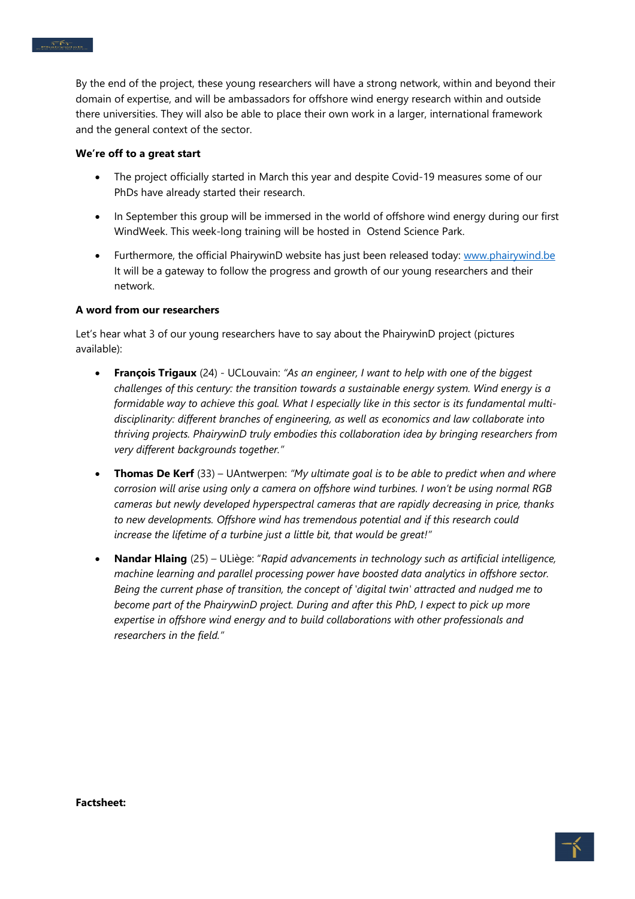By the end of the project, these young researchers will have a strong network, within and beyond their domain of expertise, and will be ambassadors for offshore wind energy research within and outside there universities. They will also be able to place their own work in a larger, international framework and the general context of the sector.

#### **We're off to a great start**

- The project officially started in March this year and despite Covid-19 measures some of our PhDs have already started their research.
- In September this group will be immersed in the world of offshore wind energy during our first WindWeek. This week-long training will be hosted in Ostend Science Park.
- Furthermore, the official PhairywinD website has just been released today: [www.phairywind.be](http://www.phairywind.be/) It will be a gateway to follow the progress and growth of our young researchers and their network.

# **A word from our researchers**

Let's hear what 3 of our young researchers have to say about the PhairywinD project (pictures available):

- **François Trigaux** (24) UCLouvain: *"As an engineer, I want to help with one of the biggest challenges of this century: the transition towards a sustainable energy system. Wind energy is a formidable way to achieve this goal. What I especially like in this sector is its fundamental multidisciplinarity: different branches of engineering, as well as economics and law collaborate into thriving projects. PhairywinD truly embodies this collaboration idea by bringing researchers from very different backgrounds together."*
- **Thomas De Kerf** (33) UAntwerpen: *"My ultimate goal is to be able to predict when and where corrosion will arise using only a camera on offshore wind turbines. I won't be using normal RGB cameras but newly developed hyperspectral cameras that are rapidly decreasing in price, thanks to new developments. Offshore wind has tremendous potential and if this research could increase the lifetime of a turbine just a little bit, that would be great!"*
- **Nandar Hlaing** (25) ULiège: "*Rapid advancements in technology such as artificial intelligence, machine learning and parallel processing power have boosted data analytics in offshore sector. Being the current phase of transition, the concept of 'digital twin' attracted and nudged me to become part of the PhairywinD project. During and after this PhD, I expect to pick up more expertise in offshore wind energy and to build collaborations with other professionals and researchers in the field."*